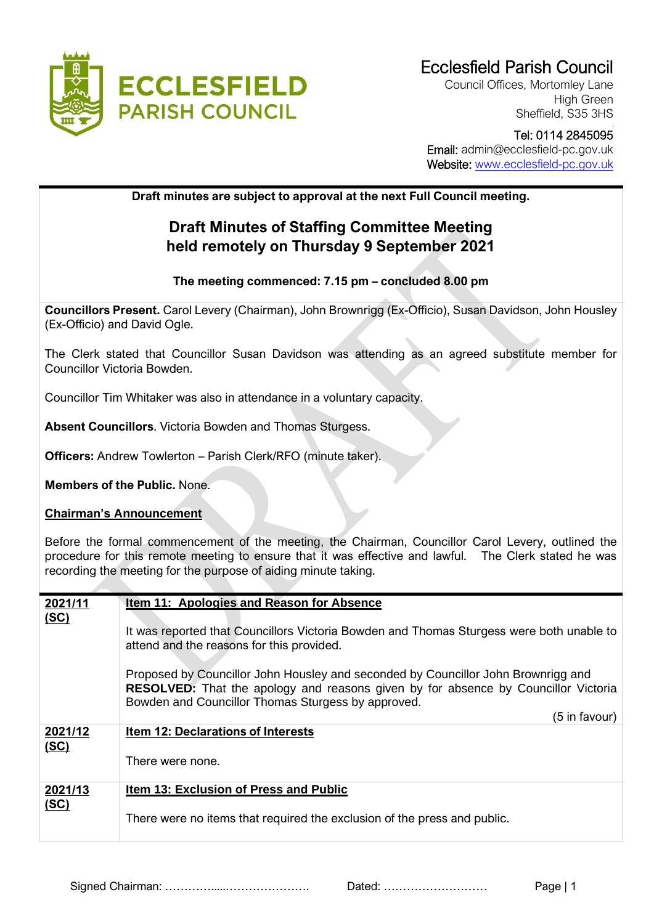

Council Offices, Mortomley Lane High Green Sheffield, S35 3HS

## Tel: 0114 2845095 Email: admin@ecclesfield-pc.gov.uk Website: [www.ecclesfield-pc.gov.uk](http://www.ecclesfield-pc.gov.uk/)

**Draft minutes are subject to approval at the next Full Council meeting.** 

## **Draft Minutes of Staffing Committee Meeting held remotely on Thursday 9 September 2021**

## **The meeting commenced: 7.15 pm – concluded 8.00 pm**

**Councillors Present.** Carol Levery (Chairman), John Brownrigg (Ex-Officio), Susan Davidson, John Housley (Ex-Officio) and David Ogle.

The Clerk stated that Councillor Susan Davidson was attending as an agreed substitute member for Councillor Victoria Bowden.

Councillor Tim Whitaker was also in attendance in a voluntary capacity.

**Absent Councillors**. Victoria Bowden and Thomas Sturgess.

**Officers:** Andrew Towlerton – Parish Clerk/RFO (minute taker).

**Members of the Public.** None.

## **Chairman's Announcement**

Before the formal commencement of the meeting, the Chairman, Councillor Carol Levery, outlined the procedure for this remote meeting to ensure that it was effective and lawful. The Clerk stated he was recording the meeting for the purpose of aiding minute taking.

| 2021/11         | Item 11: Apologies and Reason for Absence                                                                                                                                                                                            |
|-----------------|--------------------------------------------------------------------------------------------------------------------------------------------------------------------------------------------------------------------------------------|
| <u>(SC)</u>     | It was reported that Councillors Victoria Bowden and Thomas Sturgess were both unable to<br>attend and the reasons for this provided.                                                                                                |
|                 | Proposed by Councillor John Housley and seconded by Councillor John Brownrigg and<br><b>RESOLVED:</b> That the apology and reasons given by for absence by Councillor Victoria<br>Bowden and Councillor Thomas Sturgess by approved. |
|                 | (5 in favour)                                                                                                                                                                                                                        |
| 2021/12<br>(SC) | <b>Item 12: Declarations of Interests</b>                                                                                                                                                                                            |
|                 | There were none.                                                                                                                                                                                                                     |
| 2021/13         | Item 13: Exclusion of Press and Public                                                                                                                                                                                               |
| <u>(SC)</u>     | There were no items that required the exclusion of the press and public.                                                                                                                                                             |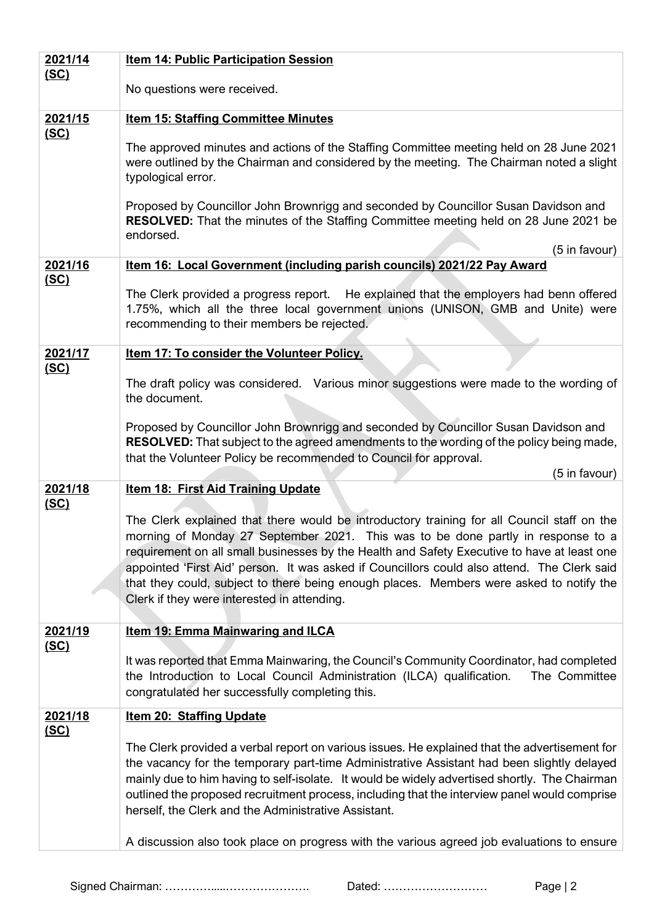| 2021/14                | Item 14: Public Participation Session                                                                                                                                                                                                                                                                                                                                                                                                                                                                                  |
|------------------------|------------------------------------------------------------------------------------------------------------------------------------------------------------------------------------------------------------------------------------------------------------------------------------------------------------------------------------------------------------------------------------------------------------------------------------------------------------------------------------------------------------------------|
| <u>(SC)</u>            | No questions were received.                                                                                                                                                                                                                                                                                                                                                                                                                                                                                            |
| 2021/15                | <b>Item 15: Staffing Committee Minutes</b>                                                                                                                                                                                                                                                                                                                                                                                                                                                                             |
| <u>(SC)</u>            | The approved minutes and actions of the Staffing Committee meeting held on 28 June 2021<br>were outlined by the Chairman and considered by the meeting. The Chairman noted a slight<br>typological error.                                                                                                                                                                                                                                                                                                              |
|                        | Proposed by Councillor John Brownrigg and seconded by Councillor Susan Davidson and<br><b>RESOLVED:</b> That the minutes of the Staffing Committee meeting held on 28 June 2021 be<br>endorsed.                                                                                                                                                                                                                                                                                                                        |
|                        | (5 in favour)                                                                                                                                                                                                                                                                                                                                                                                                                                                                                                          |
| 2021/16<br><u>(SC)</u> | Item 16: Local Government (including parish councils) 2021/22 Pay Award                                                                                                                                                                                                                                                                                                                                                                                                                                                |
|                        | The Clerk provided a progress report. He explained that the employers had benn offered<br>1.75%, which all the three local government unions (UNISON, GMB and Unite) were<br>recommending to their members be rejected.                                                                                                                                                                                                                                                                                                |
| 2021/17                | <b>Item 17: To consider the Volunteer Policy.</b>                                                                                                                                                                                                                                                                                                                                                                                                                                                                      |
| (SC)                   | The draft policy was considered. Various minor suggestions were made to the wording of<br>the document.                                                                                                                                                                                                                                                                                                                                                                                                                |
|                        | Proposed by Councillor John Brownrigg and seconded by Councillor Susan Davidson and<br>RESOLVED: That subject to the agreed amendments to the wording of the policy being made,<br>that the Volunteer Policy be recommended to Council for approval.<br>(5 in favour)                                                                                                                                                                                                                                                  |
| 2021/18                | <b>Item 18: First Aid Training Update</b>                                                                                                                                                                                                                                                                                                                                                                                                                                                                              |
| <u>(SC)</u>            | The Clerk explained that there would be introductory training for all Council staff on the<br>morning of Monday 27 September 2021. This was to be done partly in response to a<br>requirement on all small businesses by the Health and Safety Executive to have at least one<br>appointed 'First Aid' person. It was asked if Councillors could also attend. The Clerk said<br>that they could, subject to there being enough places. Members were asked to notify the<br>Clerk if they were interested in attending. |
| 2021/19                | <b>Item 19: Emma Mainwaring and ILCA</b>                                                                                                                                                                                                                                                                                                                                                                                                                                                                               |
| <u>(SC)</u>            | It was reported that Emma Mainwaring, the Council's Community Coordinator, had completed<br>the Introduction to Local Council Administration (ILCA) qualification.<br>The Committee<br>congratulated her successfully completing this.                                                                                                                                                                                                                                                                                 |
| 2021/18                | <b>Item 20: Staffing Update</b>                                                                                                                                                                                                                                                                                                                                                                                                                                                                                        |
| <u>(SC)</u>            | The Clerk provided a verbal report on various issues. He explained that the advertisement for<br>the vacancy for the temporary part-time Administrative Assistant had been slightly delayed<br>mainly due to him having to self-isolate. It would be widely advertised shortly. The Chairman<br>outlined the proposed recruitment process, including that the interview panel would comprise<br>herself, the Clerk and the Administrative Assistant.                                                                   |
|                        | A discussion also took place on progress with the various agreed job evaluations to ensure                                                                                                                                                                                                                                                                                                                                                                                                                             |